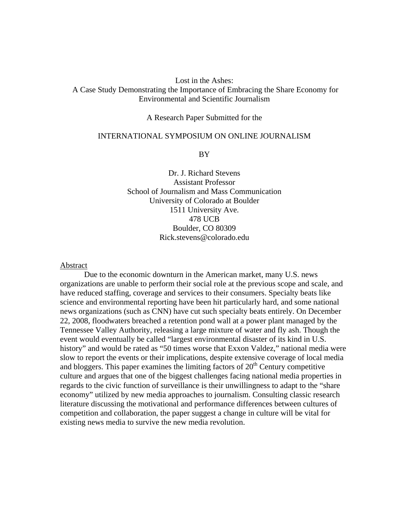# Lost in the Ashes: A Case Study Demonstrating the Importance of Embracing the Share Economy for Environmental and Scientific Journalism

### A Research Paper Submitted for the

### INTERNATIONAL SYMPOSIUM ON ONLINE JOURNALISM

BY

Dr. J. Richard Stevens Assistant Professor School of Journalism and Mass Communication University of Colorado at Boulder 1511 University Ave. 478 UCB Boulder, CO 80309 Rick.stevens@colorado.edu

Abstract

 Due to the economic downturn in the American market, many U.S. news organizations are unable to perform their social role at the previous scope and scale, and have reduced staffing, coverage and services to their consumers. Specialty beats like science and environmental reporting have been hit particularly hard, and some national news organizations (such as CNN) have cut such specialty beats entirely. On December 22, 2008, floodwaters breached a retention pond wall at a power plant managed by the Tennessee Valley Authority, releasing a large mixture of water and fly ash. Though the event would eventually be called "largest environmental disaster of its kind in U.S. history" and would be rated as "50 times worse that Exxon Valdez," national media were slow to report the events or their implications, despite extensive coverage of local media and bloggers. This paper examines the limiting factors of  $20<sup>th</sup>$  Century competitive culture and argues that one of the biggest challenges facing national media properties in regards to the civic function of surveillance is their unwillingness to adapt to the "share economy" utilized by new media approaches to journalism. Consulting classic research literature discussing the motivational and performance differences between cultures of competition and collaboration, the paper suggest a change in culture will be vital for existing news media to survive the new media revolution.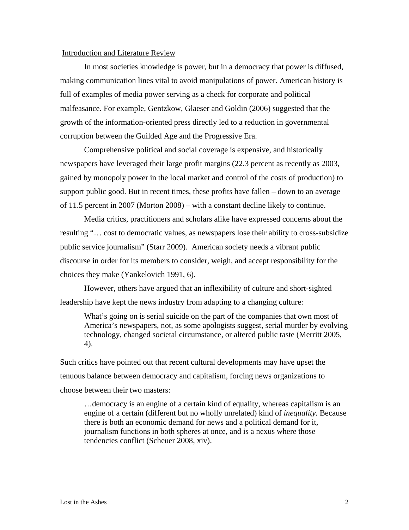## Introduction and Literature Review

In most societies knowledge is power, but in a democracy that power is diffused, making communication lines vital to avoid manipulations of power. American history is full of examples of media power serving as a check for corporate and political malfeasance. For example, Gentzkow, Glaeser and Goldin (2006) suggested that the growth of the information-oriented press directly led to a reduction in governmental corruption between the Guilded Age and the Progressive Era.

 Comprehensive political and social coverage is expensive, and historically newspapers have leveraged their large profit margins (22.3 percent as recently as 2003, gained by monopoly power in the local market and control of the costs of production) to support public good. But in recent times, these profits have fallen – down to an average of 11.5 percent in 2007 (Morton 2008) – with a constant decline likely to continue.

 Media critics, practitioners and scholars alike have expressed concerns about the resulting "… cost to democratic values, as newspapers lose their ability to cross-subsidize public service journalism" (Starr 2009). American society needs a vibrant public discourse in order for its members to consider, weigh, and accept responsibility for the choices they make (Yankelovich 1991, 6).

 However, others have argued that an inflexibility of culture and short-sighted leadership have kept the news industry from adapting to a changing culture:

What's going on is serial suicide on the part of the companies that own most of America's newspapers, not, as some apologists suggest, serial murder by evolving technology, changed societal circumstance, or altered public taste (Merritt 2005, 4).

Such critics have pointed out that recent cultural developments may have upset the tenuous balance between democracy and capitalism, forcing news organizations to choose between their two masters:

…democracy is an engine of a certain kind of equality, whereas capitalism is an engine of a certain (different but no wholly unrelated) kind of *inequality.* Because there is both an economic demand for news and a political demand for it, journalism functions in both spheres at once, and is a nexus where those tendencies conflict (Scheuer 2008, xiv).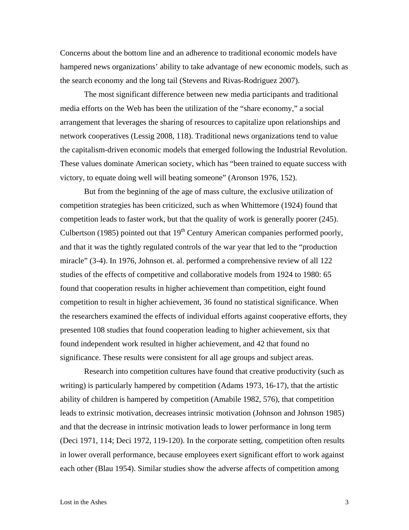Concerns about the bottom line and an adherence to traditional economic models have hampered news organizations' ability to take advantage of new economic models, such as the search economy and the long tail (Stevens and Rivas-Rodriguez 2007).

 The most significant difference between new media participants and traditional media efforts on the Web has been the utilization of the "share economy," a social arrangement that leverages the sharing of resources to capitalize upon relationships and network cooperatives (Lessig 2008, 118). Traditional news organizations tend to value the capitalism-driven economic models that emerged following the Industrial Revolution. These values dominate American society, which has "been trained to equate success with victory, to equate doing well will beating someone" (Aronson 1976, 152).

 But from the beginning of the age of mass culture, the exclusive utilization of competition strategies has been criticized, such as when Whittemore (1924) found that competition leads to faster work, but that the quality of work is generally poorer (245). Culbertson (1985) pointed out that  $19<sup>th</sup>$  Century American companies performed poorly, and that it was the tightly regulated controls of the war year that led to the "production miracle" (3-4). In 1976, Johnson et. al. performed a comprehensive review of all 122 studies of the effects of competitive and collaborative models from 1924 to 1980: 65 found that cooperation results in higher achievement than competition, eight found competition to result in higher achievement, 36 found no statistical significance. When the researchers examined the effects of individual efforts against cooperative efforts, they presented 108 studies that found cooperation leading to higher achievement, six that found independent work resulted in higher achievement, and 42 that found no significance. These results were consistent for all age groups and subject areas.

 Research into competition cultures have found that creative productivity (such as writing) is particularly hampered by competition (Adams 1973, 16-17), that the artistic ability of children is hampered by competition (Amabile 1982, 576), that competition leads to extrinsic motivation, decreases intrinsic motivation (Johnson and Johnson 1985) and that the decrease in intrinsic motivation leads to lower performance in long term (Deci 1971, 114; Deci 1972, 119-120). In the corporate setting, competition often results in lower overall performance, because employees exert significant effort to work against each other (Blau 1954). Similar studies show the adverse affects of competition among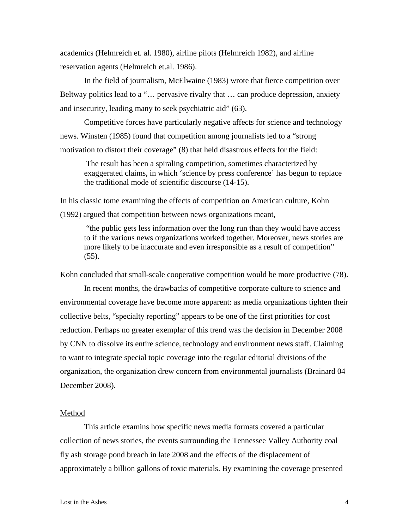academics (Helmreich et. al. 1980), airline pilots (Helmreich 1982), and airline reservation agents (Helmreich et.al. 1986).

In the field of journalism, McElwaine (1983) wrote that fierce competition over Beltway politics lead to a "... pervasive rivalry that ... can produce depression, anxiety and insecurity, leading many to seek psychiatric aid" (63).

 Competitive forces have particularly negative affects for science and technology news. Winsten (1985) found that competition among journalists led to a "strong motivation to distort their coverage" (8) that held disastrous effects for the field:

 The result has been a spiraling competition, sometimes characterized by exaggerated claims, in which 'science by press conference' has begun to replace the traditional mode of scientific discourse (14-15).

In his classic tome examining the effects of competition on American culture, Kohn (1992) argued that competition between news organizations meant,

 "the public gets less information over the long run than they would have access to if the various news organizations worked together. Moreover, news stories are more likely to be inaccurate and even irresponsible as a result of competition" (55).

Kohn concluded that small-scale cooperative competition would be more productive (78).

 In recent months, the drawbacks of competitive corporate culture to science and environmental coverage have become more apparent: as media organizations tighten their collective belts, "specialty reporting" appears to be one of the first priorities for cost reduction. Perhaps no greater exemplar of this trend was the decision in December 2008 by CNN to dissolve its entire science, technology and environment news staff. Claiming to want to integrate special topic coverage into the regular editorial divisions of the organization, the organization drew concern from environmental journalists (Brainard 04 December 2008).

### Method

 This article examins how specific news media formats covered a particular collection of news stories, the events surrounding the Tennessee Valley Authority coal fly ash storage pond breach in late 2008 and the effects of the displacement of approximately a billion gallons of toxic materials. By examining the coverage presented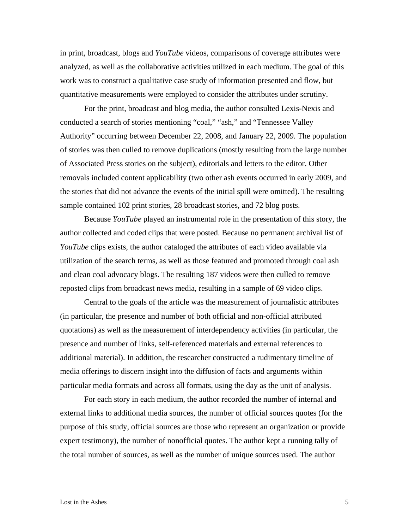in print, broadcast, blogs and *YouTube* videos, comparisons of coverage attributes were analyzed, as well as the collaborative activities utilized in each medium. The goal of this work was to construct a qualitative case study of information presented and flow, but quantitative measurements were employed to consider the attributes under scrutiny.

 For the print, broadcast and blog media, the author consulted Lexis-Nexis and conducted a search of stories mentioning "coal," "ash," and "Tennessee Valley Authority" occurring between December 22, 2008, and January 22, 2009. The population of stories was then culled to remove duplications (mostly resulting from the large number of Associated Press stories on the subject), editorials and letters to the editor. Other removals included content applicability (two other ash events occurred in early 2009, and the stories that did not advance the events of the initial spill were omitted). The resulting sample contained 102 print stories, 28 broadcast stories, and 72 blog posts.

 Because *YouTube* played an instrumental role in the presentation of this story, the author collected and coded clips that were posted. Because no permanent archival list of *YouTube* clips exists, the author cataloged the attributes of each video available via utilization of the search terms, as well as those featured and promoted through coal ash and clean coal advocacy blogs. The resulting 187 videos were then culled to remove reposted clips from broadcast news media, resulting in a sample of 69 video clips.

 Central to the goals of the article was the measurement of journalistic attributes (in particular, the presence and number of both official and non-official attributed quotations) as well as the measurement of interdependency activities (in particular, the presence and number of links, self-referenced materials and external references to additional material). In addition, the researcher constructed a rudimentary timeline of media offerings to discern insight into the diffusion of facts and arguments within particular media formats and across all formats, using the day as the unit of analysis.

 For each story in each medium, the author recorded the number of internal and external links to additional media sources, the number of official sources quotes (for the purpose of this study, official sources are those who represent an organization or provide expert testimony), the number of nonofficial quotes. The author kept a running tally of the total number of sources, as well as the number of unique sources used. The author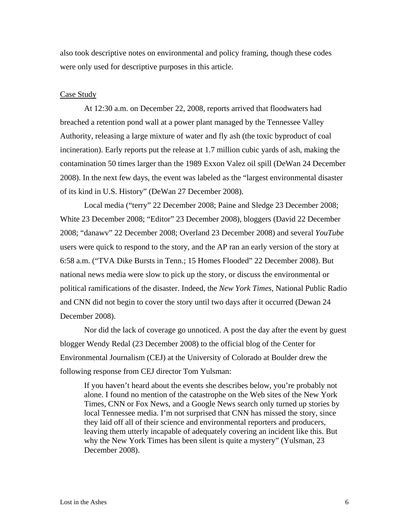also took descriptive notes on environmental and policy framing, though these codes were only used for descriptive purposes in this article.

### Case Study

At 12:30 a.m. on December 22, 2008, reports arrived that floodwaters had breached a retention pond wall at a power plant managed by the Tennessee Valley Authority, releasing a large mixture of water and fly ash (the toxic byproduct of coal incineration). Early reports put the release at 1.7 million cubic yards of ash, making the contamination 50 times larger than the 1989 Exxon Valez oil spill (DeWan 24 December 2008). In the next few days, the event was labeled as the "largest environmental disaster of its kind in U.S. History" (DeWan 27 December 2008).

 Local media ("terry" 22 December 2008; Paine and Sledge 23 December 2008; White 23 December 2008; "Editor" 23 December 2008), bloggers (David 22 December 2008; "danawv" 22 December 2008; Overland 23 December 2008) and several *YouTube* users were quick to respond to the story, and the AP ran an early version of the story at 6:58 a.m. ("TVA Dike Bursts in Tenn.; 15 Homes Flooded" 22 December 2008). But national news media were slow to pick up the story, or discuss the environmental or political ramifications of the disaster. Indeed, the *New York Times*, National Public Radio and CNN did not begin to cover the story until two days after it occurred (Dewan 24 December 2008).

 Nor did the lack of coverage go unnoticed. A post the day after the event by guest blogger Wendy Redal (23 December 2008) to the official blog of the Center for Environmental Journalism (CEJ) at the University of Colorado at Boulder drew the following response from CEJ director Tom Yulsman:

If you haven't heard about the events she describes below, you're probably not alone. I found no mention of the catastrophe on the Web sites of the New York Times, CNN or Fox News, and a Google News search only turned up stories by local Tennessee media. I'm not surprised that CNN has missed the story, since they laid off all of their science and environmental reporters and producers, leaving them utterly incapable of adequately covering an incident like this. But why the New York Times has been silent is quite a mystery" (Yulsman, 23 December 2008).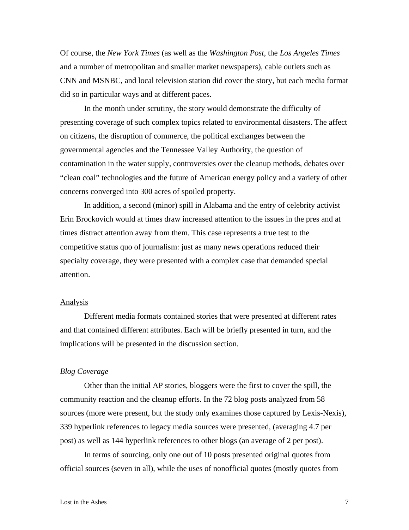Of course, the *New York Times* (as well as the *Washington Post*, the *Los Angeles Times* and a number of metropolitan and smaller market newspapers), cable outlets such as CNN and MSNBC, and local television station did cover the story, but each media format did so in particular ways and at different paces.

 In the month under scrutiny, the story would demonstrate the difficulty of presenting coverage of such complex topics related to environmental disasters. The affect on citizens, the disruption of commerce, the political exchanges between the governmental agencies and the Tennessee Valley Authority, the question of contamination in the water supply, controversies over the cleanup methods, debates over "clean coal" technologies and the future of American energy policy and a variety of other concerns converged into 300 acres of spoiled property.

 In addition, a second (minor) spill in Alabama and the entry of celebrity activist Erin Brockovich would at times draw increased attention to the issues in the pres and at times distract attention away from them. This case represents a true test to the competitive status quo of journalism: just as many news operations reduced their specialty coverage, they were presented with a complex case that demanded special attention.

### Analysis

Different media formats contained stories that were presented at different rates and that contained different attributes. Each will be briefly presented in turn, and the implications will be presented in the discussion section.

# *Blog Coverage*

 Other than the initial AP stories, bloggers were the first to cover the spill, the community reaction and the cleanup efforts. In the 72 blog posts analyzed from 58 sources (more were present, but the study only examines those captured by Lexis-Nexis), 339 hyperlink references to legacy media sources were presented, (averaging 4.7 per post) as well as 144 hyperlink references to other blogs (an average of 2 per post).

 In terms of sourcing, only one out of 10 posts presented original quotes from official sources (seven in all), while the uses of nonofficial quotes (mostly quotes from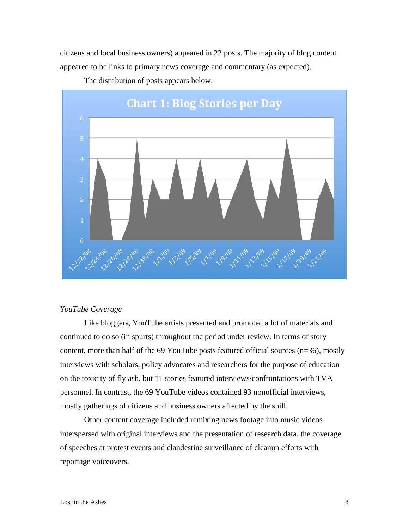citizens and local business owners) appeared in 22 posts. The majority of blog content appeared to be links to primary news coverage and commentary (as expected).



The distribution of posts appears below:

# *YouTube Coverage*

 Like bloggers, YouTube artists presented and promoted a lot of materials and continued to do so (in spurts) throughout the period under review. In terms of story content, more than half of the 69 YouTube posts featured official sources (n=36), mostly interviews with scholars, policy advocates and researchers for the purpose of education on the toxicity of fly ash, but 11 stories featured interviews/confrontations with TVA personnel. In contrast, the 69 YouTube videos contained 93 nonofficial interviews, mostly gatherings of citizens and business owners affected by the spill.

 Other content coverage included remixing news footage into music videos interspersed with original interviews and the presentation of research data, the coverage of speeches at protest events and clandestine surveillance of cleanup efforts with reportage voiceovers.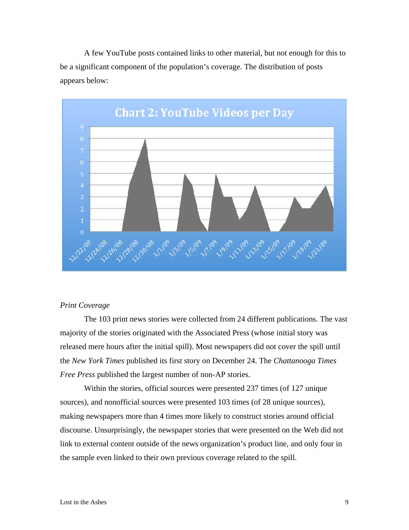A few YouTube posts contained links to other material, but not enough for this to be a significant component of the population's coverage. The distribution of posts appears below:



### *Print Coverage*

The 103 print news stories were collected from 24 different publications. The vast majority of the stories originated with the Associated Press (whose initial story was released mere hours after the initial spill). Most newspapers did not cover the spill until the *New York Times* published its first story on December 24. The *Chattanooga Times Free Press* published the largest number of non-AP stories.

 Within the stories, official sources were presented 237 times (of 127 unique sources), and nonofficial sources were presented 103 times (of 28 unique sources), making newspapers more than 4 times more likely to construct stories around official discourse. Unsurprisingly, the newspaper stories that were presented on the Web did not link to external content outside of the news organization's product line, and only four in the sample even linked to their own previous coverage related to the spill.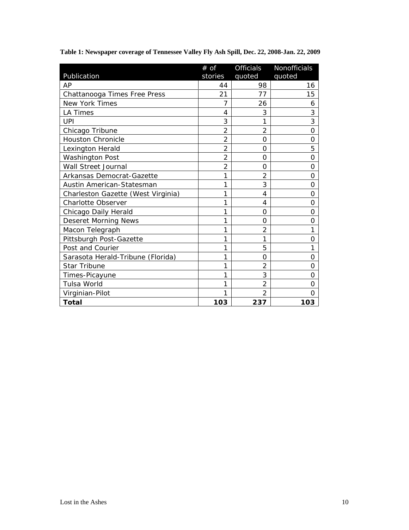|                                    | $#$ of         | Officials      | Nonofficials |
|------------------------------------|----------------|----------------|--------------|
| Publication                        | stories        | quoted         | quoted       |
| ΑP                                 | 44             | 98             | 16           |
| Chattanooga Times Free Press       | 21             | 77             | 15           |
| New York Times                     | 7              | 26             | 6            |
| <b>LA Times</b>                    | 4              | 3              | 3            |
| UPI                                | 3              | 1              | 3            |
| Chicago Tribune                    | $\overline{2}$ | $\overline{2}$ | O            |
| <b>Houston Chronicle</b>           | $\overline{2}$ | O              | O            |
| Lexington Herald                   | $\overline{2}$ | $\Omega$       | 5            |
| <b>Washington Post</b>             | $\overline{2}$ | $\Omega$       | O            |
| Wall Street Journal                | $\overline{2}$ | $\Omega$       | O            |
| Arkansas Democrat-Gazette          | 1              | $\overline{2}$ | Ω            |
| Austin American-Statesman          | 1              | 3              | O            |
| Charleston Gazette (West Virginia) | 1              | 4              | O            |
| <b>Charlotte Observer</b>          | 1              | 4              | O            |
| Chicago Daily Herald               | 1              | O              | O            |
| <b>Deseret Morning News</b>        | 1              | O              | O            |
| Macon Telegraph                    | 1              | $\overline{2}$ | 1            |
| Pittsburgh Post-Gazette            | 1              | 1              | O            |
| Post and Courier                   | 1              | 5              | 1            |
| Sarasota Herald-Tribune (Florida)  | 1              | O              | O            |
| <b>Star Tribune</b>                | 1              | $\overline{2}$ | O            |
| Times-Picayune                     | 1              | 3              | O            |
| Tulsa World                        | 1              | $\overline{2}$ | O            |
| Virginian-Pilot                    | 1              | $\overline{2}$ | O            |
| Total                              | 103            | 237            | 103          |

**Table 1: Newspaper coverage of Tennessee Valley Fly Ash Spill, Dec. 22, 2008-Jan. 22, 2009**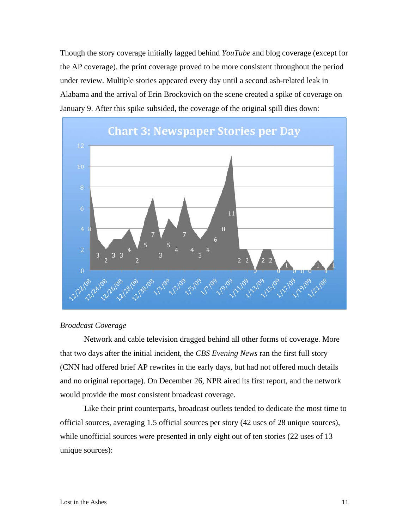Though the story coverage initially lagged behind *YouTube* and blog coverage (except for the AP coverage), the print coverage proved to be more consistent throughout the period under review. Multiple stories appeared every day until a second ash-related leak in Alabama and the arrival of Erin Brockovich on the scene created a spike of coverage on January 9. After this spike subsided, the coverage of the original spill dies down:



# *Broadcast Coverage*

 Network and cable television dragged behind all other forms of coverage. More that two days after the initial incident, the *CBS Evening News* ran the first full story (CNN had offered brief AP rewrites in the early days, but had not offered much details and no original reportage). On December 26, NPR aired its first report, and the network would provide the most consistent broadcast coverage.

 Like their print counterparts, broadcast outlets tended to dedicate the most time to official sources, averaging 1.5 official sources per story (42 uses of 28 unique sources), while unofficial sources were presented in only eight out of ten stories (22 uses of 13 unique sources):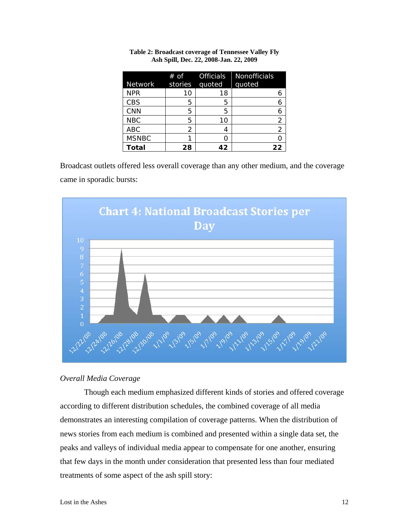| <b>Network</b> | stories | quoted | # of Officials Nonofficials<br>quoted |
|----------------|---------|--------|---------------------------------------|
| <b>NPR</b>     | 10      | 18     |                                       |
| <b>CBS</b>     | 5       | 5      |                                       |
| <b>CNN</b>     | 5       | 5      |                                       |
| <b>NBC</b>     | 5       | 10     | 2                                     |
| <b>ABC</b>     | 2       |        | 2                                     |
| <b>MSNBC</b>   |         |        |                                       |
| <b>Total</b>   | 28      | 42     | 22                                    |

| Table 2: Broadcast coverage of Tennessee Valley Fly |
|-----------------------------------------------------|
| Ash Spill, Dec. 22, 2008-Jan. 22, 2009              |

Broadcast outlets offered less overall coverage than any other medium, and the coverage came in sporadic bursts:



# *Overall Media Coverage*

 Though each medium emphasized different kinds of stories and offered coverage according to different distribution schedules, the combined coverage of all media demonstrates an interesting compilation of coverage patterns. When the distribution of news stories from each medium is combined and presented within a single data set, the peaks and valleys of individual media appear to compensate for one another, ensuring that few days in the month under consideration that presented less than four mediated treatments of some aspect of the ash spill story: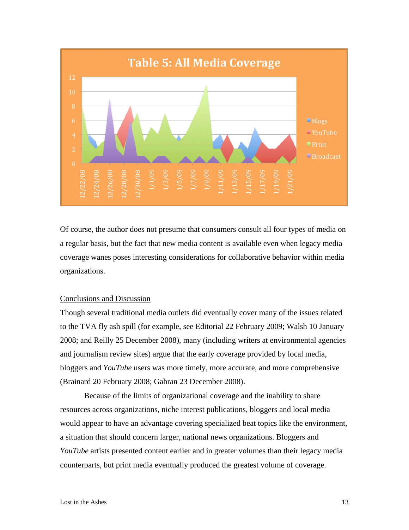

Of course, the author does not presume that consumers consult all four types of media on a regular basis, but the fact that new media content is available even when legacy media coverage wanes poses interesting considerations for collaborative behavior within media organizations.

## Conclusions and Discussion

Though several traditional media outlets did eventually cover many of the issues related to the TVA fly ash spill (for example, see Editorial 22 February 2009; Walsh 10 January 2008; and Reilly 25 December 2008), many (including writers at environmental agencies and journalism review sites) argue that the early coverage provided by local media, bloggers and *YouTube* users was more timely, more accurate, and more comprehensive (Brainard 20 February 2008; Gahran 23 December 2008).

Because of the limits of organizational coverage and the inability to share resources across organizations, niche interest publications, bloggers and local media would appear to have an advantage covering specialized beat topics like the environment, a situation that should concern larger, national news organizations. Bloggers and *YouTube* artists presented content earlier and in greater volumes than their legacy media counterparts, but print media eventually produced the greatest volume of coverage.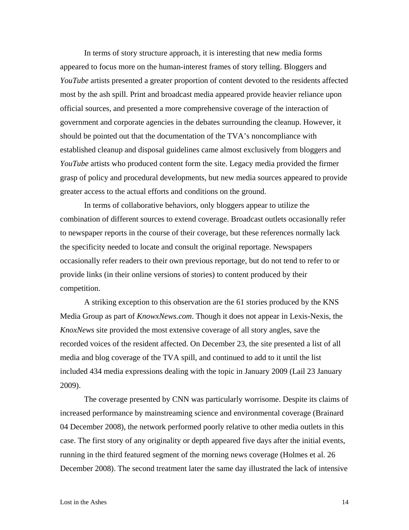In terms of story structure approach, it is interesting that new media forms appeared to focus more on the human-interest frames of story telling. Bloggers and *YouTube* artists presented a greater proportion of content devoted to the residents affected most by the ash spill. Print and broadcast media appeared provide heavier reliance upon official sources, and presented a more comprehensive coverage of the interaction of government and corporate agencies in the debates surrounding the cleanup. However, it should be pointed out that the documentation of the TVA's noncompliance with established cleanup and disposal guidelines came almost exclusively from bloggers and *YouTube* artists who produced content form the site. Legacy media provided the firmer grasp of policy and procedural developments, but new media sources appeared to provide greater access to the actual efforts and conditions on the ground.

In terms of collaborative behaviors, only bloggers appear to utilize the combination of different sources to extend coverage. Broadcast outlets occasionally refer to newspaper reports in the course of their coverage, but these references normally lack the specificity needed to locate and consult the original reportage. Newspapers occasionally refer readers to their own previous reportage, but do not tend to refer to or provide links (in their online versions of stories) to content produced by their competition.

A striking exception to this observation are the 61 stories produced by the KNS Media Group as part of *KnowxNews.com*. Though it does not appear in Lexis-Nexis, the *KnoxNews* site provided the most extensive coverage of all story angles, save the recorded voices of the resident affected. On December 23, the site presented a list of all media and blog coverage of the TVA spill, and continued to add to it until the list included 434 media expressions dealing with the topic in January 2009 (Lail 23 January 2009).

The coverage presented by CNN was particularly worrisome. Despite its claims of increased performance by mainstreaming science and environmental coverage (Brainard 04 December 2008), the network performed poorly relative to other media outlets in this case. The first story of any originality or depth appeared five days after the initial events, running in the third featured segment of the morning news coverage (Holmes et al. 26 December 2008). The second treatment later the same day illustrated the lack of intensive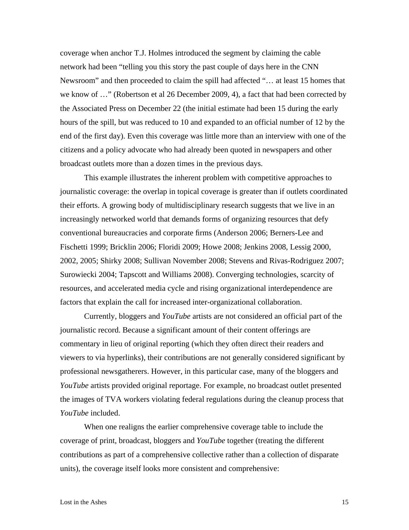coverage when anchor T.J. Holmes introduced the segment by claiming the cable network had been "telling you this story the past couple of days here in the CNN Newsroom" and then proceeded to claim the spill had affected "… at least 15 homes that we know of …" (Robertson et al 26 December 2009, 4), a fact that had been corrected by the Associated Press on December 22 (the initial estimate had been 15 during the early hours of the spill, but was reduced to 10 and expanded to an official number of 12 by the end of the first day). Even this coverage was little more than an interview with one of the citizens and a policy advocate who had already been quoted in newspapers and other broadcast outlets more than a dozen times in the previous days.

This example illustrates the inherent problem with competitive approaches to journalistic coverage: the overlap in topical coverage is greater than if outlets coordinated their efforts. A growing body of multidisciplinary research suggests that we live in an increasingly networked world that demands forms of organizing resources that defy conventional bureaucracies and corporate firms (Anderson 2006; Berners-Lee and Fischetti 1999; Bricklin 2006; Floridi 2009; Howe 2008; Jenkins 2008, Lessig 2000, 2002, 2005; Shirky 2008; Sullivan November 2008; Stevens and Rivas-Rodriguez 2007; Surowiecki 2004; Tapscott and Williams 2008). Converging technologies, scarcity of resources, and accelerated media cycle and rising organizational interdependence are factors that explain the call for increased inter-organizational collaboration.

Currently, bloggers and *YouTube* artists are not considered an official part of the journalistic record. Because a significant amount of their content offerings are commentary in lieu of original reporting (which they often direct their readers and viewers to via hyperlinks), their contributions are not generally considered significant by professional newsgatherers. However, in this particular case, many of the bloggers and *YouTube* artists provided original reportage. For example, no broadcast outlet presented the images of TVA workers violating federal regulations during the cleanup process that *YouTube* included.

When one realigns the earlier comprehensive coverage table to include the coverage of print, broadcast, bloggers and *YouTube* together (treating the different contributions as part of a comprehensive collective rather than a collection of disparate units), the coverage itself looks more consistent and comprehensive: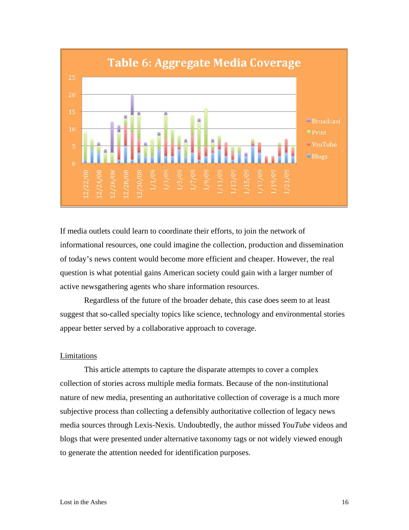

If media outlets could learn to coordinate their efforts, to join the network of informational resources, one could imagine the collection, production and dissemination of today's news content would become more efficient and cheaper. However, the real question is what potential gains American society could gain with a larger number of active newsgathering agents who share information resources.

 Regardless of the future of the broader debate, this case does seem to at least suggest that so-called specialty topics like science, technology and environmental stories appear better served by a collaborative approach to coverage.

## Limitations

This article attempts to capture the disparate attempts to cover a complex collection of stories across multiple media formats. Because of the non-institutional nature of new media, presenting an authoritative collection of coverage is a much more subjective process than collecting a defensibly authoritative collection of legacy news media sources through Lexis-Nexis. Undoubtedly, the author missed *YouTube* videos and blogs that were presented under alternative taxonomy tags or not widely viewed enough to generate the attention needed for identification purposes.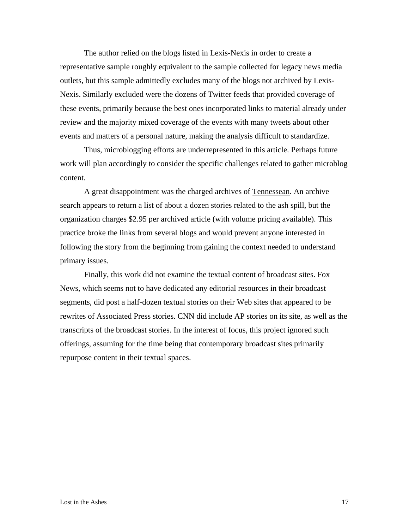The author relied on the blogs listed in Lexis-Nexis in order to create a representative sample roughly equivalent to the sample collected for legacy news media outlets, but this sample admittedly excludes many of the blogs not archived by Lexis-Nexis. Similarly excluded were the dozens of Twitter feeds that provided coverage of these events, primarily because the best ones incorporated links to material already under review and the majority mixed coverage of the events with many tweets about other events and matters of a personal nature, making the analysis difficult to standardize.

Thus, microblogging efforts are underrepresented in this article. Perhaps future work will plan accordingly to consider the specific challenges related to gather microblog content.

A great disappointment was the charged archives of Tennessean. An archive search appears to return a list of about a dozen stories related to the ash spill, but the organization charges \$2.95 per archived article (with volume pricing available). This practice broke the links from several blogs and would prevent anyone interested in following the story from the beginning from gaining the context needed to understand primary issues.

Finally, this work did not examine the textual content of broadcast sites. Fox News, which seems not to have dedicated any editorial resources in their broadcast segments, did post a half-dozen textual stories on their Web sites that appeared to be rewrites of Associated Press stories. CNN did include AP stories on its site, as well as the transcripts of the broadcast stories. In the interest of focus, this project ignored such offerings, assuming for the time being that contemporary broadcast sites primarily repurpose content in their textual spaces.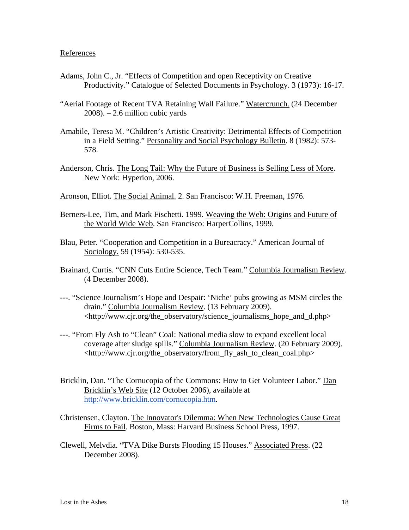# References

- Adams, John C., Jr. "Effects of Competition and open Receptivity on Creative Productivity." Catalogue of Selected Documents in Psychology. 3 (1973): 16-17.
- "Aerial Footage of Recent TVA Retaining Wall Failure." Watercrunch. (24 December 2008). – 2.6 million cubic yards
- Amabile, Teresa M. "Children's Artistic Creativity: Detrimental Effects of Competition in a Field Setting." Personality and Social Psychology Bulletin. 8 (1982): 573- 578.
- Anderson, Chris. The Long Tail: Why the Future of Business is Selling Less of More. New York: Hyperion, 2006.
- Aronson, Elliot. The Social Animal. 2. San Francisco: W.H. Freeman, 1976.
- Berners-Lee, Tim, and Mark Fischetti. 1999. Weaving the Web: Origins and Future of the World Wide Web. San Francisco: HarperCollins, 1999.
- Blau, Peter. "Cooperation and Competition in a Bureacracy." American Journal of Sociology. 59 (1954): 530-535.
- Brainard, Curtis. "CNN Cuts Entire Science, Tech Team." Columbia Journalism Review. (4 December 2008).
- ---. "Science Journalism's Hope and Despair: 'Niche' pubs growing as MSM circles the drain." Columbia Journalism Review. (13 February 2009). <http://www.cjr.org/the\_observatory/science\_journalisms\_hope\_and\_d.php>
- ---. "From Fly Ash to "Clean" Coal: National media slow to expand excellent local coverage after sludge spills." Columbia Journalism Review. (20 February 2009). <http://www.cjr.org/the\_observatory/from\_fly\_ash\_to\_clean\_coal.php>
- Bricklin, Dan. "The Cornucopia of the Commons: How to Get Volunteer Labor." Dan Bricklin's Web Site (12 October 2006), available at http://www.bricklin.com/cornucopia.htm.
- Christensen, Clayton. The Innovator's Dilemma: When New Technologies Cause Great Firms to Fail. Boston, Mass: Harvard Business School Press, 1997.
- Clewell, Melvdia. "TVA Dike Bursts Flooding 15 Houses." Associated Press. (22 December 2008).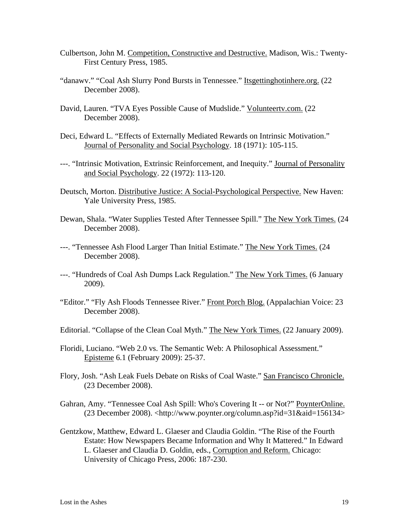- Culbertson, John M. Competition, Constructive and Destructive. Madison, Wis.: Twenty-First Century Press, 1985.
- "danawv." "Coal Ash Slurry Pond Bursts in Tennessee." Itsgettinghotinhere.org. (22 December 2008).
- David, Lauren. "TVA Eyes Possible Cause of Mudslide." Volunteertv.com. (22 December 2008).
- Deci, Edward L. "Effects of Externally Mediated Rewards on Intrinsic Motivation." Journal of Personality and Social Psychology. 18 (1971): 105-115.
- ---. "Intrinsic Motivation, Extrinsic Reinforcement, and Inequity." Journal of Personality and Social Psychology. 22 (1972): 113-120.
- Deutsch, Morton. Distributive Justice: A Social-Psychological Perspective. New Haven: Yale University Press, 1985.
- Dewan, Shala. "Water Supplies Tested After Tennessee Spill." The New York Times. (24 December 2008).
- ---. "Tennessee Ash Flood Larger Than Initial Estimate." The New York Times. (24 December 2008).
- ---. "Hundreds of Coal Ash Dumps Lack Regulation." The New York Times. (6 January 2009).
- "Editor." "Fly Ash Floods Tennessee River." Front Porch Blog. (Appalachian Voice: 23 December 2008).
- Editorial. "Collapse of the Clean Coal Myth." The New York Times. (22 January 2009).
- Floridi, Luciano. "Web 2.0 vs. The Semantic Web: A Philosophical Assessment." Episteme 6.1 (February 2009): 25-37.
- Flory, Josh. "Ash Leak Fuels Debate on Risks of Coal Waste." San Francisco Chronicle. (23 December 2008).
- Gahran, Amy. "Tennessee Coal Ash Spill: Who's Covering It -- or Not?" PoynterOnline. (23 December 2008). <http://www.poynter.org/column.asp?id=31&aid=156134>
- Gentzkow, Matthew, Edward L. Glaeser and Claudia Goldin. "The Rise of the Fourth Estate: How Newspapers Became Information and Why It Mattered." In Edward L. Glaeser and Claudia D. Goldin, eds., Corruption and Reform. Chicago: University of Chicago Press, 2006: 187-230.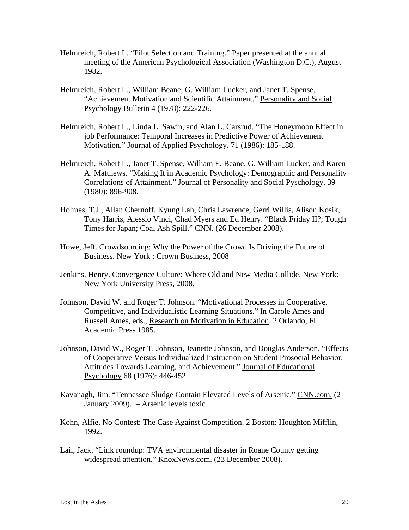- Helmreich, Robert L. "Pilot Selection and Training." Paper presented at the annual meeting of the American Psychological Association (Washington D.C.), August 1982.
- Helmreich, Robert L., William Beane, G. William Lucker, and Janet T. Spense. "Achievement Motivation and Scientific Attainment." Personality and Social Psychology Bulletin 4 (1978): 222-226.
- Helmreich, Robert L., Linda L. Sawin, and Alan L. Carsrud. "The Honeymoon Effect in job Performance: Temporal Increases in Predictive Power of Achievement Motivation." Journal of Applied Psychology. 71 (1986): 185-188.
- Helmreich, Robert L., Janet T. Spense, William E. Beane, G. William Lucker, and Karen A. Matthews. "Making It in Academic Psychology: Demographic and Personality Correlations of Attainment." Journal of Personality and Social Pyschology. 39 (1980): 896-908.
- Holmes, T.J., Allan Chernoff, Kyung Lah, Chris Lawrence, Gerri Willis, Alison Kosik, Tony Harris, Alessio Vinci, Chad Myers and Ed Henry. "Black Friday II?; Tough Times for Japan; Coal Ash Spill." CNN. (26 December 2008).
- Howe, Jeff. Crowdsourcing: Why the Power of the Crowd Is Driving the Future of Business. New York : Crown Business, 2008
- Jenkins, Henry. Convergence Culture: Where Old and New Media Collide. New York: New York University Press, 2008.
- Johnson, David W. and Roger T. Johnson. "Motivational Processes in Cooperative, Competitive, and Individualistic Learning Situations." In Carole Ames and Russell Ames, eds., Research on Motivation in Education. 2 Orlando, Fl: Academic Press 1985.
- Johnson, David W., Roger T. Johnson, Jeanette Johnson, and Douglas Anderson. "Effects of Cooperative Versus Individualized Instruction on Student Prosocial Behavior, Attitudes Towards Learning, and Achievement." Journal of Educational Psychology 68 (1976): 446-452.
- Kavanagh, Jim. "Tennessee Sludge Contain Elevated Levels of Arsenic." CNN.com. (2 January 2009). – Arsenic levels toxic
- Kohn, Alfie. No Contest: The Case Against Competition. 2 Boston: Houghton Mifflin, 1992.
- Lail, Jack. "Link roundup: TVA environmental disaster in Roane County getting widespread attention." KnoxNews.com. (23 December 2008).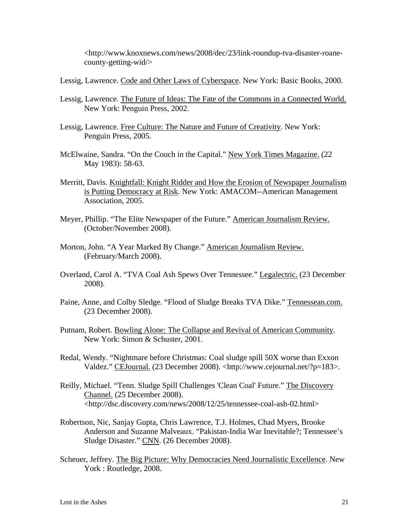<http://www.knoxnews.com/news/2008/dec/23/link-roundup-tva-disaster-roanecounty-getting-wid/>

- Lessig, Lawrence. Code and Other Laws of Cyberspace. New York: Basic Books, 2000.
- Lessig, Lawrence. The Future of Ideas: The Fate of the Commons in a Connected World. New York: Penguin Press, 2002.
- Lessig, Lawrence. Free Culture: The Nature and Future of Creativity. New York: Penguin Press, 2005.
- McElwaine, Sandra. "On the Couch in the Capital." New York Times Magazine. (22 May 1983): 58-63.
- Merritt, Davis. Knightfall: Knight Ridder and How the Erosion of Newspaper Journalism is Putting Democracy at Risk. New York: AMACOM--American Management Association, 2005.
- Meyer, Phillip. "The Elite Newspaper of the Future." American Journalism Review. (October/November 2008).
- Morton, John. "A Year Marked By Change." American Journalism Review. (February/March 2008).
- Overland, Carol A. "TVA Coal Ash Spews Over Tennessee." Legalectric. (23 December 2008).
- Paine, Anne, and Colby Sledge. "Flood of Sludge Breaks TVA Dike." Tennessean.com. (23 December 2008).
- Putnam, Robert. Bowling Alone: The Collapse and Revival of American Community. New York: Simon & Schuster, 2001.
- Redal, Wendy. "Nightmare before Christmas: Coal sludge spill 50X worse than Exxon Valdez." CEJournal. (23 December 2008). <http://www.cejournal.net/?p=183>.
- Reilly, Michael. "Tenn. Sludge Spill Challenges 'Clean Coal' Future." The Discovery Channel. (25 December 2008). <http://dsc.discovery.com/news/2008/12/25/tennessee-coal-ash-02.html>
- Robertson, Nic, Sanjay Gupta, Chris Lawrence, T.J. Holmes, Chad Myers, Brooke Anderson and Suzanne Malveaux. "Pakistan-India War Inevitable?; Tennessee's Sludge Disaster." CNN. (26 December 2008).
- Scheuer, Jeffrey. The Big Picture: Why Democracies Need Journalistic Excellence. New York : Routledge, 2008.